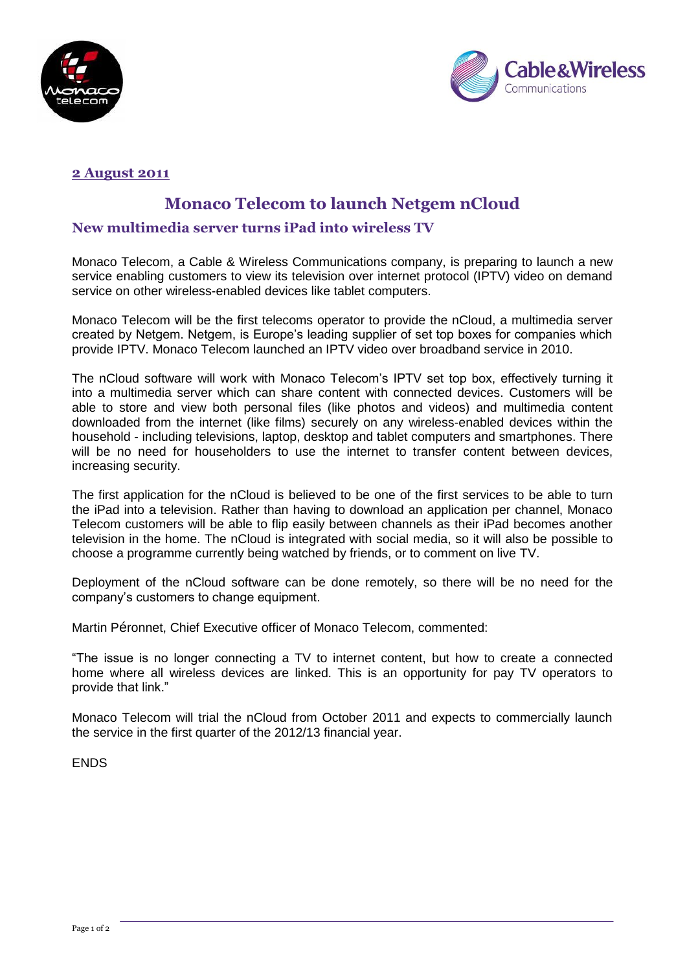



# **2 August 2011**

# **Monaco Telecom to launch Netgem nCloud**

# **New multimedia server turns iPad into wireless TV**

Monaco Telecom, a Cable & Wireless Communications company, is preparing to launch a new service enabling customers to view its television over internet protocol (IPTV) video on demand service on other wireless-enabled devices like tablet computers.

Monaco Telecom will be the first telecoms operator to provide the nCloud, a multimedia server created by Netgem. Netgem, is Europe's leading supplier of set top boxes for companies which provide IPTV. Monaco Telecom launched an IPTV video over broadband service in 2010.

The nCloud software will work with Monaco Telecom's IPTV set top box, effectively turning it into a multimedia server which can share content with connected devices. Customers will be able to store and view both personal files (like photos and videos) and multimedia content downloaded from the internet (like films) securely on any wireless-enabled devices within the household - including televisions, laptop, desktop and tablet computers and smartphones. There will be no need for householders to use the internet to transfer content between devices, increasing security.

The first application for the nCloud is believed to be one of the first services to be able to turn the iPad into a television. Rather than having to download an application per channel, Monaco Telecom customers will be able to flip easily between channels as their iPad becomes another television in the home. The nCloud is integrated with social media, so it will also be possible to choose a programme currently being watched by friends, or to comment on live TV.

Deployment of the nCloud software can be done remotely, so there will be no need for the company's customers to change equipment.

Martin Péronnet, Chief Executive officer of Monaco Telecom, commented:

"The issue is no longer connecting a TV to internet content, but how to create a connected home where all wireless devices are linked. This is an opportunity for pay TV operators to provide that link."

Monaco Telecom will trial the nCloud from October 2011 and expects to commercially launch the service in the first quarter of the 2012/13 financial year.

ENDS